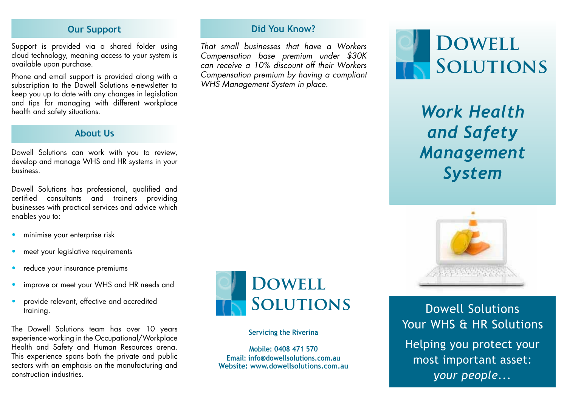### **Our Support**

Support is provided via a shared folder using cloud technology, meaning access to your system is available upon purchase.

Phone and email support is provided along with a subscription to the Dowell Solutions e-newsletter to keep you up to date with any changes in legislation and tips for managing with different workplace health and safety situations.

## **About Us**

Dowell Solutions can work with you to review, develop and manage WHS and HR systems in your business.

Dowell Solutions has professional, qualified and certified consultants and trainers providing businesses with practical services and advice which enables you to:

- minimise your enterprise risk
- meet your legislative requirements
- reduce your insurance premiums
- improve or meet your WHS and HR needs and
- provide relevant, effective and accredited training.

The Dowell Solutions team has over 10 years experience working in the Occupational/Workplace Health and Safety and Human Resources arena. This experience spans both the private and public sectors with an emphasis on the manufacturing and construction industries.



**Did You Know?**

*That small businesses that have a Workers Compensation base premium under \$30K can receive a 10% discount off their Workers Compensation premium by having a compliant* 

*WHS Management System in place.*

#### **Servicing the Riverina**

**Mobile: 0408 471 570 Email: info@dowellsolutions.com.au Website: www.dowellsolutions.com.au**



*Work Health and Safety Management System*



Dowell Solutions Your WHS & HR Solutions Helping you protect your most important asset: *your people...*